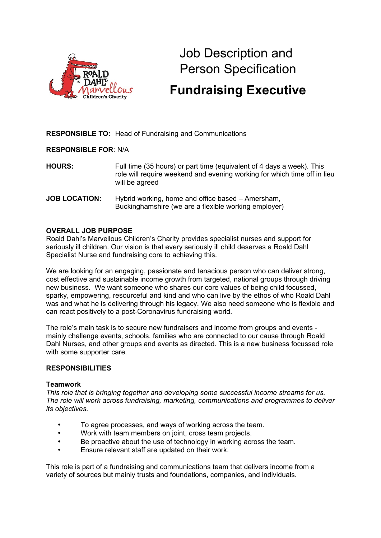

# Job Description and Person Specification

# **Fundraising Executive**

**RESPONSIBLE TO:** Head of Fundraising and Communications

**RESPONSIBLE FOR**: N/A

**HOURS:** Full time (35 hours) or part time (equivalent of 4 days a week). This role will require weekend and evening working for which time off in lieu will be agreed

**JOB LOCATION:** Hybrid working, home and office based – Amersham, Buckinghamshire (we are a flexible working employer)

#### **OVERALL JOB PURPOSE**

Roald Dahl's Marvellous Children's Charity provides specialist nurses and support for seriously ill children. Our vision is that every seriously ill child deserves a Roald Dahl Specialist Nurse and fundraising core to achieving this.

We are looking for an engaging, passionate and tenacious person who can deliver strong, cost effective and sustainable income growth from targeted, national groups through driving new business. We want someone who shares our core values of being child focussed, sparky, empowering, resourceful and kind and who can live by the ethos of who Roald Dahl was and what he is delivering through his legacy. We also need someone who is flexible and can react positively to a post-Coronavirus fundraising world.

The role's main task is to secure new fundraisers and income from groups and events mainly challenge events, schools, families who are connected to our cause through Roald Dahl Nurses, and other groups and events as directed. This is a new business focussed role with some supporter care.

#### **RESPONSIBILITIES**

#### **Teamwork**

*This role that is bringing together and developing some successful income streams for us. The role will work across fundraising, marketing, communications and programmes to deliver its objectives.*

- To agree processes, and ways of working across the team.
- Work with team members on joint, cross team projects.
- Be proactive about the use of technology in working across the team.
- Ensure relevant staff are updated on their work.

This role is part of a fundraising and communications team that delivers income from a variety of sources but mainly trusts and foundations, companies, and individuals.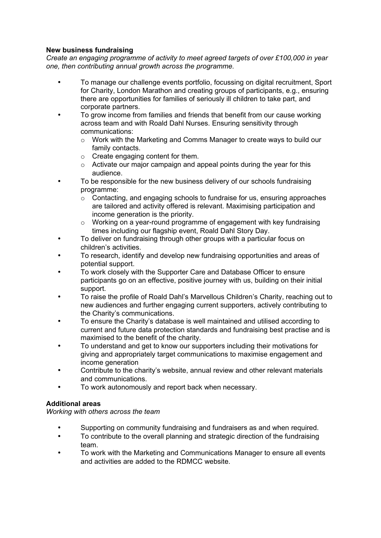### **New business fundraising**

*Create an engaging programme of activity to meet agreed targets of over £100,000 in year one, then contributing annual growth across the programme.*

- To manage our challenge events portfolio, focussing on digital recruitment, Sport for Charity, London Marathon and creating groups of participants, e.g., ensuring there are opportunities for families of seriously ill children to take part, and corporate partners.
- To grow income from families and friends that benefit from our cause working across team and with Roald Dahl Nurses. Ensuring sensitivity through communications:
	- $\circ$  Work with the Marketing and Comms Manager to create ways to build our family contacts.
	- o Create engaging content for them.
	- o Activate our major campaign and appeal points during the year for this audience.
- To be responsible for the new business delivery of our schools fundraising programme:
	- o Contacting, and engaging schools to fundraise for us, ensuring approaches are tailored and activity offered is relevant. Maximising participation and income generation is the priority.
	- $\circ$  Working on a year-round programme of engagement with key fundraising times including our flagship event, Roald Dahl Story Day.
- To deliver on fundraising through other groups with a particular focus on children's activities.
- To research, identify and develop new fundraising opportunities and areas of potential support.
- To work closely with the Supporter Care and Database Officer to ensure participants go on an effective, positive journey with us, building on their initial support.
- To raise the profile of Roald Dahl's Marvellous Children's Charity, reaching out to new audiences and further engaging current supporters, actively contributing to the Charity's communications.
- To ensure the Charity's database is well maintained and utilised according to current and future data protection standards and fundraising best practise and is maximised to the benefit of the charity.
- To understand and get to know our supporters including their motivations for giving and appropriately target communications to maximise engagement and income generation
- Contribute to the charity's website, annual review and other relevant materials and communications.
- To work autonomously and report back when necessary.

# **Additional areas**

*Working with others across the team*

- Supporting on community fundraising and fundraisers as and when required.
- To contribute to the overall planning and strategic direction of the fundraising team.
- To work with the Marketing and Communications Manager to ensure all events and activities are added to the RDMCC website.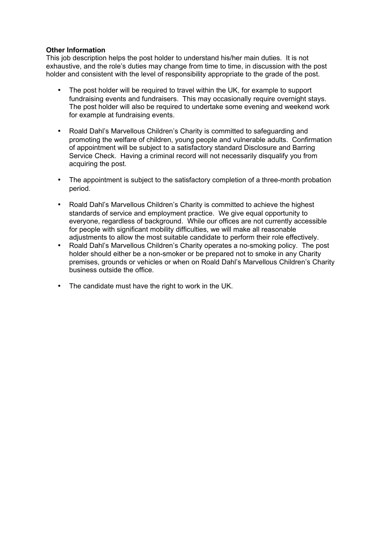#### **Other Information**

This job description helps the post holder to understand his/her main duties. It is not exhaustive, and the role's duties may change from time to time, in discussion with the post holder and consistent with the level of responsibility appropriate to the grade of the post.

- The post holder will be required to travel within the UK, for example to support fundraising events and fundraisers. This may occasionally require overnight stays. The post holder will also be required to undertake some evening and weekend work for example at fundraising events.
- Roald Dahl's Marvellous Children's Charity is committed to safeguarding and promoting the welfare of children, young people and vulnerable adults. Confirmation of appointment will be subject to a satisfactory standard Disclosure and Barring Service Check. Having a criminal record will not necessarily disqualify you from acquiring the post.
- The appointment is subject to the satisfactory completion of a three-month probation period.
- Roald Dahl's Marvellous Children's Charity is committed to achieve the highest standards of service and employment practice. We give equal opportunity to everyone, regardless of background. While our offices are not currently accessible for people with significant mobility difficulties, we will make all reasonable adjustments to allow the most suitable candidate to perform their role effectively.
- Roald Dahl's Marvellous Children's Charity operates a no-smoking policy. The post holder should either be a non-smoker or be prepared not to smoke in any Charity premises, grounds or vehicles or when on Roald Dahl's Marvellous Children's Charity business outside the office.
- The candidate must have the right to work in the UK.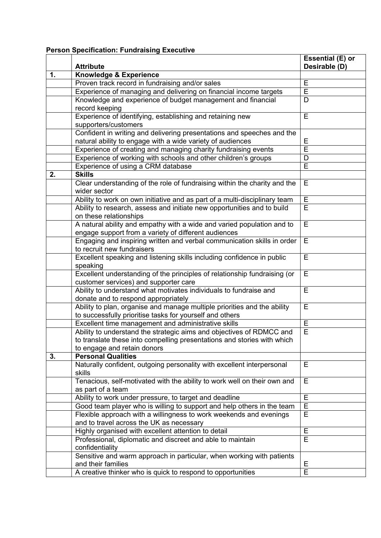# **Person Specification: Fundraising Executive**

|    |                                                                            | Essential (E) or |
|----|----------------------------------------------------------------------------|------------------|
|    | <b>Attribute</b>                                                           | Desirable (D)    |
| 1. | <b>Knowledge &amp; Experience</b>                                          |                  |
|    | Proven track record in fundraising and/or sales                            | Е                |
|    | Experience of managing and delivering on financial income targets          | E                |
|    | Knowledge and experience of budget management and financial                | D                |
|    | record keeping                                                             |                  |
|    | Experience of identifying, establishing and retaining new                  | E                |
|    | supporters/customers                                                       |                  |
|    | Confident in writing and delivering presentations and speeches and the     |                  |
|    | natural ability to engage with a wide variety of audiences                 | Ε                |
|    | Experience of creating and managing charity fundraising events             | Ē                |
|    | Experience of working with schools and other children's groups             | D                |
|    | Experience of using a CRM database                                         | E                |
| 2. | <b>Skills</b>                                                              |                  |
|    | Clear understanding of the role of fundraising within the charity and the  | Е                |
|    | wider sector                                                               |                  |
|    | Ability to work on own initiative and as part of a multi-disciplinary team | Е                |
|    | Ability to research, assess and initiate new opportunities and to build    | E                |
|    | on these relationships                                                     |                  |
|    | A natural ability and empathy with a wide and varied population and to     | Е                |
|    | engage support from a variety of different audiences                       |                  |
|    | Engaging and inspiring written and verbal communication skills in order    | Е                |
|    | to recruit new fundraisers                                                 |                  |
|    | Excellent speaking and listening skills including confidence in public     | E                |
|    | speaking                                                                   |                  |
|    | Excellent understanding of the principles of relationship fundraising (or  | Е                |
|    | customer services) and supporter care                                      |                  |
|    | Ability to understand what motivates individuals to fundraise and          | Е                |
|    | donate and to respond appropriately                                        |                  |
|    | Ability to plan, organise and manage multiple priorities and the ability   | E                |
|    | to successfully prioritise tasks for yourself and others                   |                  |
|    | Excellent time management and administrative skills                        | E                |
|    | Ability to understand the strategic aims and objectives of RDMCC and       | E                |
|    | to translate these into compelling presentations and stories with which    |                  |
|    | to engage and retain donors                                                |                  |
| 3. | <b>Personal Qualities</b>                                                  |                  |
|    | Naturally confident, outgoing personality with excellent interpersonal     | E                |
|    | skills                                                                     |                  |
|    | Tenacious, self-motivated with the ability to work well on their own and   | Е                |
|    | as part of a team                                                          |                  |
|    | Ability to work under pressure, to target and deadline                     | E                |
|    | Good team player who is willing to support and help others in the team     | $\overline{E}$   |
|    | Flexible approach with a willingness to work weekends and evenings         | E                |
|    | and to travel across the UK as necessary                                   |                  |
|    | Highly organised with excellent attention to detail                        | E                |
|    | Professional, diplomatic and discreet and able to maintain                 | E                |
|    | confidentiality                                                            |                  |
|    | Sensitive and warm approach in particular, when working with patients      |                  |
|    | and their families                                                         | Е                |
|    | A creative thinker who is quick to respond to opportunities                | Έ                |